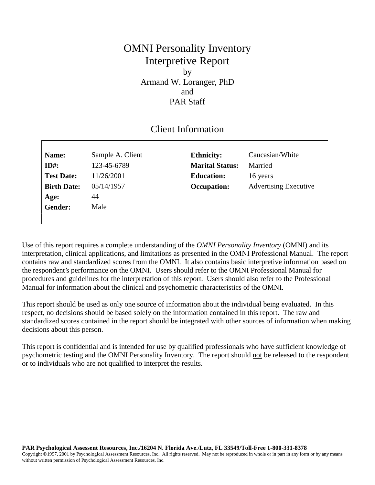## OMNI Personality Inventory Interpretive Report by Armand W. Loranger, PhD and PAR Staff

## Client Information

| Name:              | Sample A. Client | <b>Ethnicity:</b>      | Caucasian/White              |
|--------------------|------------------|------------------------|------------------------------|
| $ID#$ :            | 123-45-6789      | <b>Marital Status:</b> | Married                      |
| <b>Test Date:</b>  | 11/26/2001       | <b>Education:</b>      | 16 years                     |
| <b>Birth Date:</b> | 05/14/1957       | Occupation:            | <b>Advertising Executive</b> |
| Age:               | 44               |                        |                              |
| <b>Gender:</b>     | Male             |                        |                              |
|                    |                  |                        |                              |

Use of this report requires a complete understanding of the *OMNI Personality Inventory* (OMNI) and its interpretation, clinical applications, and limitations as presented in the OMNI Professional Manual. The report contains raw and standardized scores from the OMNI. It also contains basic interpretive information based on the respondent's performance on the OMNI. Users should refer to the OMNI Professional Manual for procedures and guidelines for the interpretation of this report. Users should also refer to the Professional Manual for information about the clinical and psychometric characteristics of the OMNI.

This report should be used as only one source of information about the individual being evaluated. In this respect, no decisions should be based solely on the information contained in this report. The raw and standardized scores contained in the report should be integrated with other sources of information when making decisions about this person.

This report is confidential and is intended for use by qualified professionals who have sufficient knowledge of psychometric testing and the OMNI Personality Inventory. The report should not be released to the respondent or to individuals who are not qualified to interpret the results.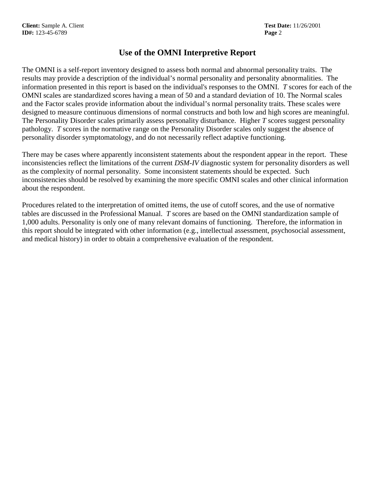## **Use of the OMNI Interpretive Report**

The OMNI is a self-report inventory designed to assess both normal and abnormal personality traits. The results may provide a description of the individual's normal personality and personality abnormalities. The information presented in this report is based on the individual's responses to the OMNI. *T* scores for each of the OMNI scales are standardized scores having a mean of 50 and a standard deviation of 10. The Normal scales and the Factor scales provide information about the individual's normal personality traits. These scales were designed to measure continuous dimensions of normal constructs and both low and high scores are meaningful. The Personality Disorder scales primarily assess personality disturbance. Higher *T* scores suggest personality pathology. *T* scores in the normative range on the Personality Disorder scales only suggest the absence of personality disorder symptomatology, and do not necessarily reflect adaptive functioning.

There may be cases where apparently inconsistent statements about the respondent appear in the report. These inconsistencies reflect the limitations of the current *DSM-IV* diagnostic system for personality disorders as well as the complexity of normal personality. Some inconsistent statements should be expected. Such inconsistencies should be resolved by examining the more specific OMNI scales and other clinical information about the respondent.

Procedures related to the interpretation of omitted items, the use of cutoff scores, and the use of normative tables are discussed in the Professional Manual. *T* scores are based on the OMNI standardization sample of 1,000 adults. Personality is only one of many relevant domains of functioning. Therefore, the information in this report should be integrated with other information (e.g., intellectual assessment, psychosocial assessment, and medical history) in order to obtain a comprehensive evaluation of the respondent.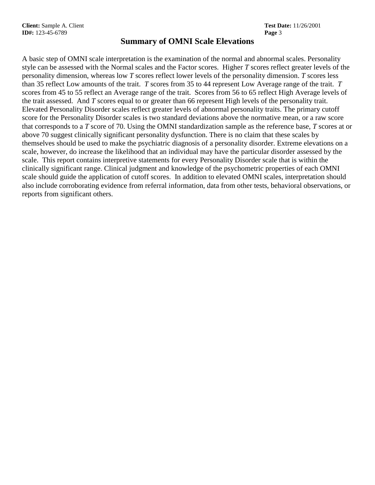### **Summary of OMNI Scale Elevations**

A basic step of OMNI scale interpretation is the examination of the normal and abnormal scales. Personality style can be assessed with the Normal scales and the Factor scores. Higher *T* scores reflect greater levels of the personality dimension, whereas low *T* scores reflect lower levels of the personality dimension. *T* scores less than 35 reflect Low amounts of the trait. *T* scores from 35 to 44 represent Low Average range of the trait. *T* scores from 45 to 55 reflect an Average range of the trait. Scores from 56 to 65 reflect High Average levels of the trait assessed. And *T* scores equal to or greater than 66 represent High levels of the personality trait. Elevated Personality Disorder scales reflect greater levels of abnormal personality traits. The primary cutoff score for the Personality Disorder scales is two standard deviations above the normative mean, or a raw score that corresponds to a *T* score of 70. Using the OMNI standardization sample as the reference base, *T* scores at or above 70 suggest clinically significant personality dysfunction. There is no claim that these scales by themselves should be used to make the psychiatric diagnosis of a personality disorder. Extreme elevations on a scale, however, do increase the likelihood that an individual may have the particular disorder assessed by the scale. This report contains interpretive statements for every Personality Disorder scale that is within the clinically significant range. Clinical judgment and knowledge of the psychometric properties of each OMNI scale should guide the application of cutoff scores. In addition to elevated OMNI scales, interpretation should also include corroborating evidence from referral information, data from other tests, behavioral observations, or reports from significant others.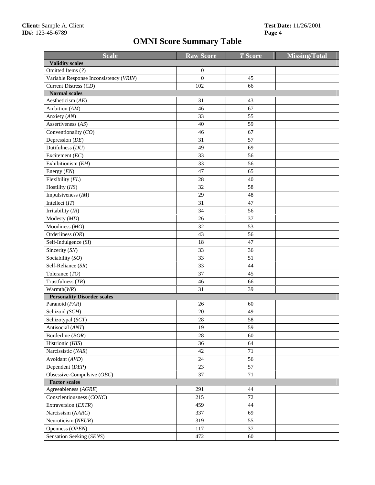# **OMNI Score Summary Table**

| <b>Scale</b>                           | <b>Raw Score</b> | <b>T</b> Score | <b>Missing/Total</b> |
|----------------------------------------|------------------|----------------|----------------------|
| <b>Validity scales</b>                 |                  |                |                      |
| Omitted Items (?)                      | $\boldsymbol{0}$ |                |                      |
| Variable Response Inconsistency (VRIN) | $\mathbf{0}$     | 45             |                      |
| Current Distress (CD)                  | 102              | 66             |                      |
| <b>Normal scales</b>                   |                  |                |                      |
| Aestheticism $(AE)$                    | 31               | 43             |                      |
| Ambition (AM)                          | 46               | 67             |                      |
| Anxiety (AN)                           | 33               | 55             |                      |
| Assertiveness (AS)                     | 40               | 59             |                      |
| Conventionality (CO)                   | 46               | 67             |                      |
| Depression (DE)                        | 31               | 57             |                      |
| Dutifulness (DU)                       | 49               | 69             |                      |
| Excitement (EC)                        | 33               | 56             |                      |
| Exhibitionism (EH)                     | 33               | 56             |                      |
| Energy (EN)                            | 47               | 65             |                      |
| Flexibility (FL)                       | 28               | 40             |                      |
| Hostility (HS)                         | 32               | 58             |                      |
| Impulsiveness (IM)                     | 29               | 48             |                      |
| Intellect $(IT)$                       | 31               | 47             |                      |
| Irritability (IR)                      | 34               | 56             |                      |
| Modesty (MD)                           | 26               | 37             |                      |
| Moodiness (MO)                         | 32               | 53             |                      |
|                                        | 43               | 56             |                      |
| Orderliness (OR)                       |                  |                |                      |
| Self-Indulgence (SI)                   | 18               | 47             |                      |
| Sincerity (SN)                         | 33               | 36             |                      |
| Sociability (SO)                       | 33               | 51             |                      |
| Self-Reliance (SR)                     | 33               | 44             |                      |
| Tolerance (TO)                         | 37               | 45             |                      |
| Trustfulness $(TR)$                    | 46               | 66             |                      |
| Warmth(WR)                             | 31               | 39             |                      |
| <b>Personality Disorder scales</b>     |                  |                |                      |
| Paranoid (PAR)                         | 26               | 60             |                      |
| Schizoid (SCH)                         | 20               | 49             |                      |
| Schizotypal (SCT)                      | 28               | 58             |                      |
| Antisocial (ANT)                       | 19               | 59             |                      |
| Borderline (BOR)                       | 28               | 60             |                      |
| Histrionic (HIS)                       | 36               | 64             |                      |
| Narcissistic (NAR)                     | 42               | 71             |                      |
| Avoidant (AVD)                         | 24               | 56             |                      |
| Dependent (DEP)                        | 23               | 57             |                      |
| Obsessive-Compulsive (OBC)             | 37               | $71\,$         |                      |
| <b>Factor scales</b>                   |                  |                |                      |
| Agreeableness (AGRE)                   | 291              | 44             |                      |
| Conscientiousness (CONC)               | 215              | 72             |                      |
| Extraversion (EXTR)                    | 459              | 44             |                      |
| Narcissism (NARC)                      | 337              | 69             |                      |
| Neuroticism (NEUR)                     | 319              | 55             |                      |
| Openness (OPEN)                        | 117              | 37             |                      |
| Sensation Seeking (SENS)               | 472              | 60             |                      |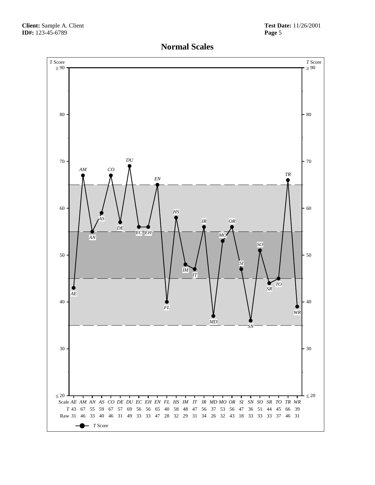

## **Normal Scales**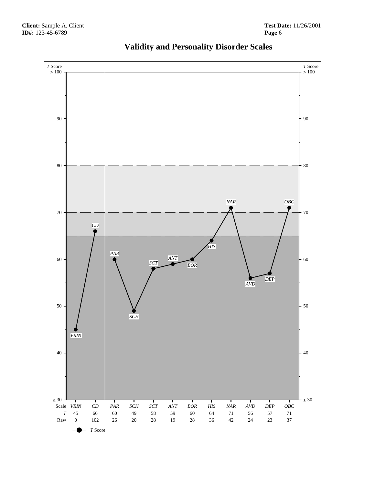

# **Validity and Personality Disorder Scales**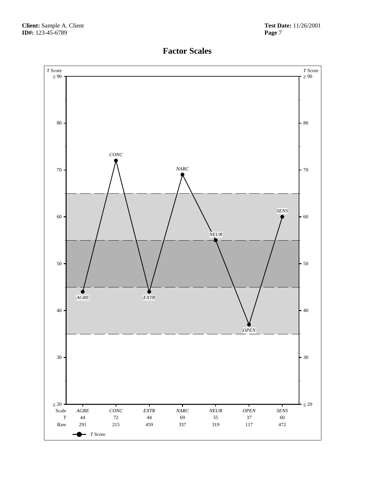

## **Factor Scales**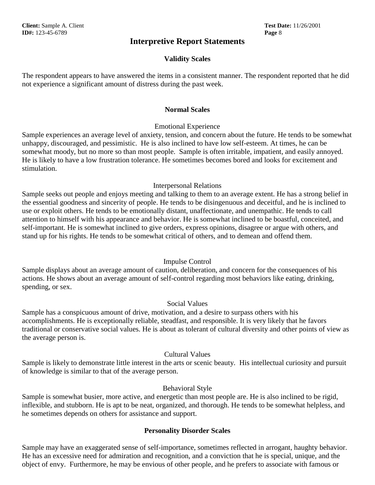### **Interpretive Report Statements**

#### **Validity Scales**

The respondent appears to have answered the items in a consistent manner. The respondent reported that he did not experience a significant amount of distress during the past week.

#### **Normal Scales**

#### Emotional Experience

Sample experiences an average level of anxiety, tension, and concern about the future. He tends to be somewhat unhappy, discouraged, and pessimistic. He is also inclined to have low self-esteem. At times, he can be somewhat moody, but no more so than most people. Sample is often irritable, impatient, and easily annoyed. He is likely to have a low frustration tolerance. He sometimes becomes bored and looks for excitement and stimulation.

#### Interpersonal Relations

Sample seeks out people and enjoys meeting and talking to them to an average extent. He has a strong belief in the essential goodness and sincerity of people. He tends to be disingenuous and deceitful, and he is inclined to use or exploit others. He tends to be emotionally distant, unaffectionate, and unempathic. He tends to call attention to himself with his appearance and behavior. He is somewhat inclined to be boastful, conceited, and self-important. He is somewhat inclined to give orders, express opinions, disagree or argue with others, and stand up for his rights. He tends to be somewhat critical of others, and to demean and offend them.

#### Impulse Control

Sample displays about an average amount of caution, deliberation, and concern for the consequences of his actions. He shows about an average amount of self-control regarding most behaviors like eating, drinking, spending, or sex.

#### Social Values

Sample has a conspicuous amount of drive, motivation, and a desire to surpass others with his accomplishments. He is exceptionally reliable, steadfast, and responsible. It is very likely that he favors traditional or conservative social values. He is about as tolerant of cultural diversity and other points of view as the average person is.

#### Cultural Values

Sample is likely to demonstrate little interest in the arts or scenic beauty. His intellectual curiosity and pursuit of knowledge is similar to that of the average person.

#### Behavioral Style

Sample is somewhat busier, more active, and energetic than most people are. He is also inclined to be rigid, inflexible, and stubborn. He is apt to be neat, organized, and thorough. He tends to be somewhat helpless, and he sometimes depends on others for assistance and support.

#### **Personality Disorder Scales**

Sample may have an exaggerated sense of self-importance, sometimes reflected in arrogant, haughty behavior. He has an excessive need for admiration and recognition, and a conviction that he is special, unique, and the object of envy. Furthermore, he may be envious of other people, and he prefers to associate with famous or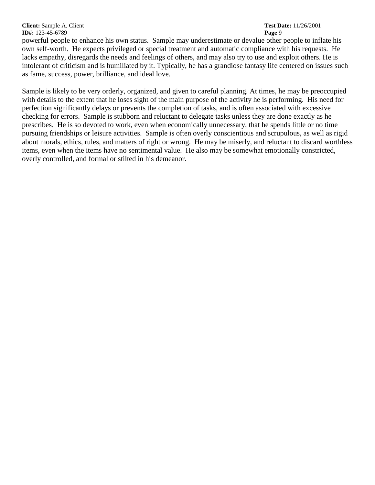**Client:** Sample A. Client **Test Date:** 11/26/2001 **ID#:** 123-45-6789 **Page** 9

powerful people to enhance his own status. Sample may underestimate or devalue other people to inflate his own self-worth. He expects privileged or special treatment and automatic compliance with his requests. He lacks empathy, disregards the needs and feelings of others, and may also try to use and exploit others. He is intolerant of criticism and is humiliated by it. Typically, he has a grandiose fantasy life centered on issues such as fame, success, power, brilliance, and ideal love.

Sample is likely to be very orderly, organized, and given to careful planning. At times, he may be preoccupied with details to the extent that he loses sight of the main purpose of the activity he is performing. His need for perfection significantly delays or prevents the completion of tasks, and is often associated with excessive checking for errors. Sample is stubborn and reluctant to delegate tasks unless they are done exactly as he prescribes. He is so devoted to work, even when economically unnecessary, that he spends little or no time pursuing friendships or leisure activities. Sample is often overly conscientious and scrupulous, as well as rigid about morals, ethics, rules, and matters of right or wrong. He may be miserly, and reluctant to discard worthless items, even when the items have no sentimental value. He also may be somewhat emotionally constricted, overly controlled, and formal or stilted in his demeanor.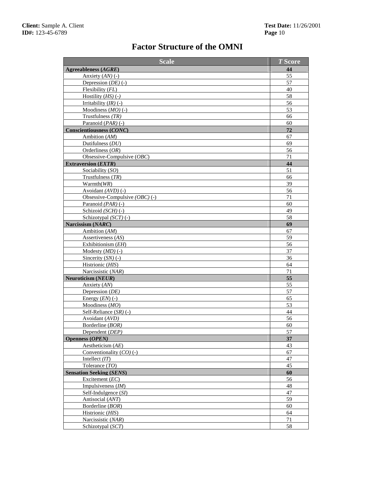# **Factor Structure of the OMNI**

| <b>Scale</b>                     | <b>T</b> Score |  |
|----------------------------------|----------------|--|
| Agreeableness (AGRE)             | 44             |  |
| Anxiety $(AN)$ (-)               | 55             |  |
| Depression $(DE)$ (-)            | 57             |  |
| Flexibility (FL)                 | 40             |  |
| Hostility $(HS)$ (-)             | 58             |  |
| Irritability $(IR)$ (-)          | 56             |  |
| Moodiness $(MO)$ (-)             | 53             |  |
| Trustfulness $(TR)$              | 66             |  |
| Paranoid $(PAR)$ (-)             | 60             |  |
| <b>Conscientiousness (CONC)</b>  | 72             |  |
| Ambition (AM)                    | 67             |  |
| Dutifulness $(DU)$               | 69             |  |
| Orderliness $(OR)$               | 56             |  |
| Obsessive-Compulsive (OBC)       | 71             |  |
| <b>Extraversion (EXTR)</b>       | 44             |  |
| Sociability (SO)                 | 51             |  |
| Trustfulness $(TR)$              | 66             |  |
| Warmth(WR)                       | 39             |  |
| Avoidant $(AVD)$ (-)             | 56             |  |
| Obsessive-Compulsive $(OBC)$ (-) | 71             |  |
| Paranoid $(PAR)$ (-)             | 60             |  |
| Schizoid (SCH) (-)               | 49             |  |
| Schizotypal (SCT) (-)            | 58             |  |
| Narcissism (NARC)                | 69             |  |
| Ambition (AM)                    | 67             |  |
| Assertiveness (AS)               | 59             |  |
| Exhibitionism (EH)               | 56             |  |
| Modesty $(MD)$ (-)               | 37             |  |
| Sincerity $(SN)$ (-)             | 36             |  |
| Histrionic (HIS)                 | 64             |  |
| Narcissistic (NAR)               | 71             |  |
| Neuroticism (NEUR)               | 55             |  |
| Anxiety (AN)                     | 55             |  |
| Depression (DE)                  | 57             |  |
| Energy $(EN)$ (-)                | 65             |  |
| Moodiness (MO)                   | 53             |  |
| Self-Reliance $(SR)$ (-)         | 44             |  |
| Avoidant (AVD)                   | 56             |  |
| Borderline (BOR)                 | 60             |  |
| Dependent (DEP)                  | 57             |  |
| <b>Openness (OPEN)</b>           | 37             |  |
| Aestheticism $(AE)$              | 43             |  |
| Conventionality $(CO)(-)$        | 67             |  |
| Intellect $(IT)$                 | 47             |  |
| Tolerance (TO)                   | 45             |  |
| <b>Sensation Seeking (SENS)</b>  | 60             |  |
| Excitement $(EC)$                | 56             |  |
| Impulsiveness $(IM)$             | 48             |  |
| Self-Indulgence (SI)             | 47             |  |
| Antisocial (ANT)                 | 59             |  |
| Borderline (BOR)                 | 60             |  |
| Histrionic (HIS)                 | 64             |  |
| Narcissistic (NAR)               | $71\,$<br>58   |  |
| Schizotypal (SCT)                |                |  |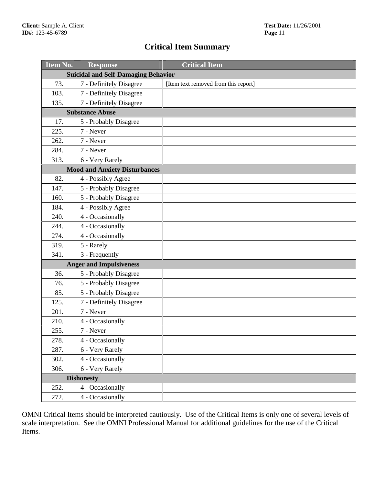## **Critical Item Summary**

| Item No. | <b>Response</b>                            | <b>Critical Item</b>                 |
|----------|--------------------------------------------|--------------------------------------|
|          | <b>Suicidal and Self-Damaging Behavior</b> |                                      |
| 73.      | 7 - Definitely Disagree                    | [Item text removed from this report] |
| 103.     | 7 - Definitely Disagree                    |                                      |
| 135.     | 7 - Definitely Disagree                    |                                      |
|          | <b>Substance Abuse</b>                     |                                      |
| 17.      | 5 - Probably Disagree                      |                                      |
| 225.     | 7 - Never                                  |                                      |
| 262.     | 7 - Never                                  |                                      |
| 284.     | 7 - Never                                  |                                      |
| 313.     | 6 - Very Rarely                            |                                      |
|          | <b>Mood and Anxiety Disturbances</b>       |                                      |
| 82.      | 4 - Possibly Agree                         |                                      |
| 147.     | 5 - Probably Disagree                      |                                      |
| 160.     | 5 - Probably Disagree                      |                                      |
| 184.     | 4 - Possibly Agree                         |                                      |
| 240.     | 4 - Occasionally                           |                                      |
| 244.     | 4 - Occasionally                           |                                      |
| 274.     | 4 - Occasionally                           |                                      |
| 319.     | 5 - Rarely                                 |                                      |
| 341.     | 3 - Frequently                             |                                      |
|          | <b>Anger and Impulsiveness</b>             |                                      |
| 36.      | 5 - Probably Disagree                      |                                      |
| 76.      | 5 - Probably Disagree                      |                                      |
| 85.      | 5 - Probably Disagree                      |                                      |
| 125.     | 7 - Definitely Disagree                    |                                      |
| 201.     | 7 - Never                                  |                                      |
| 210.     | 4 - Occasionally                           |                                      |
| 255.     | 7 - Never                                  |                                      |
| 278.     | 4 - Occasionally                           |                                      |
| 287.     | 6 - Very Rarely                            |                                      |
| 302.     | 4 - Occasionally                           |                                      |
| 306.     | 6 - Very Rarely                            |                                      |
|          | <b>Dishonesty</b>                          |                                      |
| 252.     | 4 - Occasionally                           |                                      |
| 272.     | 4 - Occasionally                           |                                      |

OMNI Critical Items should be interpreted cautiously. Use of the Critical Items is only one of several levels of scale interpretation. See the OMNI Professional Manual for additional guidelines for the use of the Critical Items.